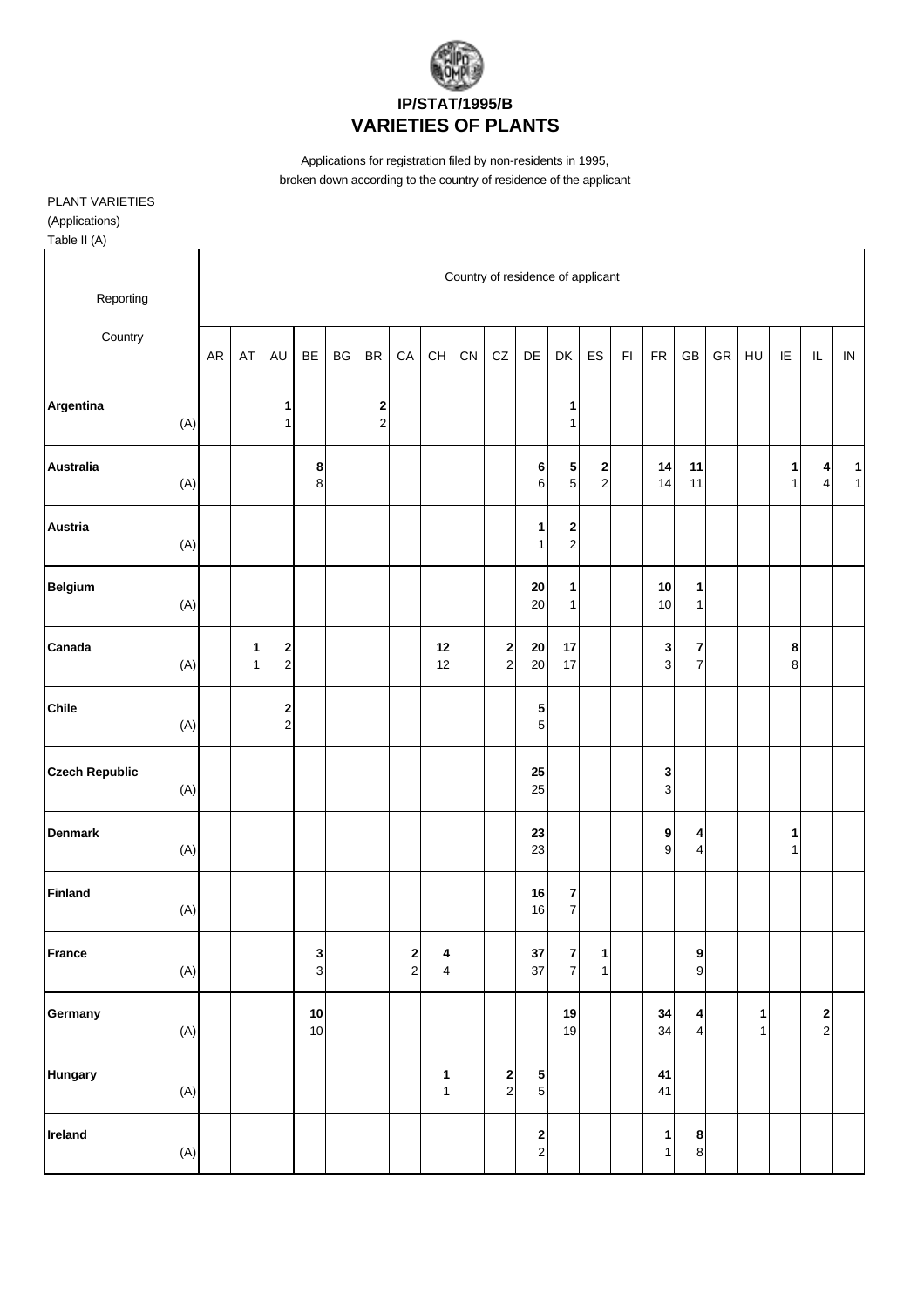

Applications for registration filed by non-residents in 1995, broken down according to the country of residence of the applicant

## PLANT VARIETIES (Applications)

| Table II (A)                 |           |        |                                        |            |    |                                         |                                          |                                          |                                   |                                        |                   |                                           |                                        |               |                     |                               |            |                   |             |                                                               |                   |
|------------------------------|-----------|--------|----------------------------------------|------------|----|-----------------------------------------|------------------------------------------|------------------------------------------|-----------------------------------|----------------------------------------|-------------------|-------------------------------------------|----------------------------------------|---------------|---------------------|-------------------------------|------------|-------------------|-------------|---------------------------------------------------------------|-------------------|
| Reporting                    |           |        |                                        |            |    |                                         |                                          |                                          | Country of residence of applicant |                                        |                   |                                           |                                        |               |                     |                               |            |                   |             |                                                               |                   |
| Country                      | <b>AR</b> | AT     | AU                                     | BE         | BG | <b>BR</b>                               | CA                                       | $\mathsf{CH}% \left( \mathcal{M}\right)$ | CN                                | CZ                                     | DE                | DK                                        | ES                                     | $\mathsf{FI}$ | ${\sf FR}$          | GB                            | ${\sf GR}$ | HU                | IE          | $\sf IL$                                                      | IN                |
| Argentina<br>(A)             |           |        | 1<br>$\mathbf{1}$                      |            |    | $\overline{\mathbf{c}}$<br>$\mathbf{2}$ |                                          |                                          |                                   |                                        |                   | 1<br>$\mathbf 1$                          |                                        |               |                     |                               |            |                   |             |                                                               |                   |
| <b>Australia</b><br>(A)      |           |        |                                        | 8<br>8     |    |                                         |                                          |                                          |                                   |                                        | 6<br>6            | 5<br>$\overline{5}$                       | $\mathbf 2$<br>$\overline{\mathbf{c}}$ |               | 14<br>14            | 11<br>11                      |            |                   | 1<br>1      | 4<br>$\overline{\mathbf{4}}$                                  | $\mathbf{1}$<br>1 |
| <b>Austria</b><br>(A)        |           |        |                                        |            |    |                                         |                                          |                                          |                                   |                                        | 1<br>$\mathbf{1}$ | $\overline{\mathbf{c}}$<br>$\overline{a}$ |                                        |               |                     |                               |            |                   |             |                                                               |                   |
| Belgium<br>(A)               |           |        |                                        |            |    |                                         |                                          |                                          |                                   |                                        | ${\bf 20}$<br>20  | 1<br>$\mathbf 1$                          |                                        |               | 10<br>10            | 1<br>$\mathbf{1}$             |            |                   |             |                                                               |                   |
| Canada<br>(A)                |           | 1<br>1 | $\overline{\mathbf{c}}$<br>$\mathbf 2$ |            |    |                                         |                                          | 12<br>12                                 |                                   | $\boldsymbol{2}$<br>$\sqrt{2}$         | 20<br>20          | 17<br>17                                  |                                        |               | 3<br>$\overline{3}$ | 7<br>$\overline{\mathbf{7}}$  |            |                   | 8<br>$\bf8$ |                                                               |                   |
| <b>Chile</b><br>(A)          |           |        | 2<br>$\overline{c}$                    |            |    |                                         |                                          |                                          |                                   |                                        | 5<br>5            |                                           |                                        |               |                     |                               |            |                   |             |                                                               |                   |
| <b>Czech Republic</b><br>(A) |           |        |                                        |            |    |                                         |                                          |                                          |                                   |                                        | 25<br>25          |                                           |                                        |               | 3<br>3              |                               |            |                   |             |                                                               |                   |
| <b>Denmark</b><br>(A)        |           |        |                                        |            |    |                                         |                                          |                                          |                                   |                                        | 23<br>23          |                                           |                                        |               | 9<br>9              | 4<br>4                        |            |                   | 1<br>1      |                                                               |                   |
| <b>Finland</b><br>(A)        |           |        |                                        |            |    |                                         |                                          |                                          |                                   |                                        | 16<br>16          | 7<br>$\overline{\mathbf{7}}$              |                                        |               |                     |                               |            |                   |             |                                                               |                   |
| <b>France</b><br>(A)         |           |        |                                        | 3<br>3     |    |                                         | $\begin{array}{c} \n2 \\ 2\n\end{array}$ | 4<br>$\overline{\mathbf{4}}$             |                                   |                                        | 37<br>37          | 7<br>$\overline{7}$                       | 1<br>$\mathbf{1}$                      |               |                     | 9<br>$\mathbf 9$              |            |                   |             |                                                               |                   |
| Germany<br>$(A)$             |           |        |                                        | 10<br>$10$ |    |                                         |                                          |                                          |                                   |                                        |                   | 19<br>19                                  |                                        |               | 34<br>34            | 4<br>$\overline{\mathcal{L}}$ |            | 1<br>$\mathbf{1}$ |             | $\begin{array}{c} \n\mathbf{2} \\ \n\mathbf{2} \n\end{array}$ |                   |
| <b>Hungary</b><br>(A)        |           |        |                                        |            |    |                                         |                                          | 1<br>$\mathbf{1}$                        |                                   | $\overline{\mathbf{c}}$<br>$\mathbf 2$ | 5<br>$\sqrt{5}$   |                                           |                                        |               | 41<br>41            |                               |            |                   |             |                                                               |                   |
| Ireland<br>(A)               |           |        |                                        |            |    |                                         |                                          |                                          |                                   |                                        | $\frac{2}{2}$     |                                           |                                        |               | 1<br>$\mathbf{1}$   | 8<br>8                        |            |                   |             |                                                               |                   |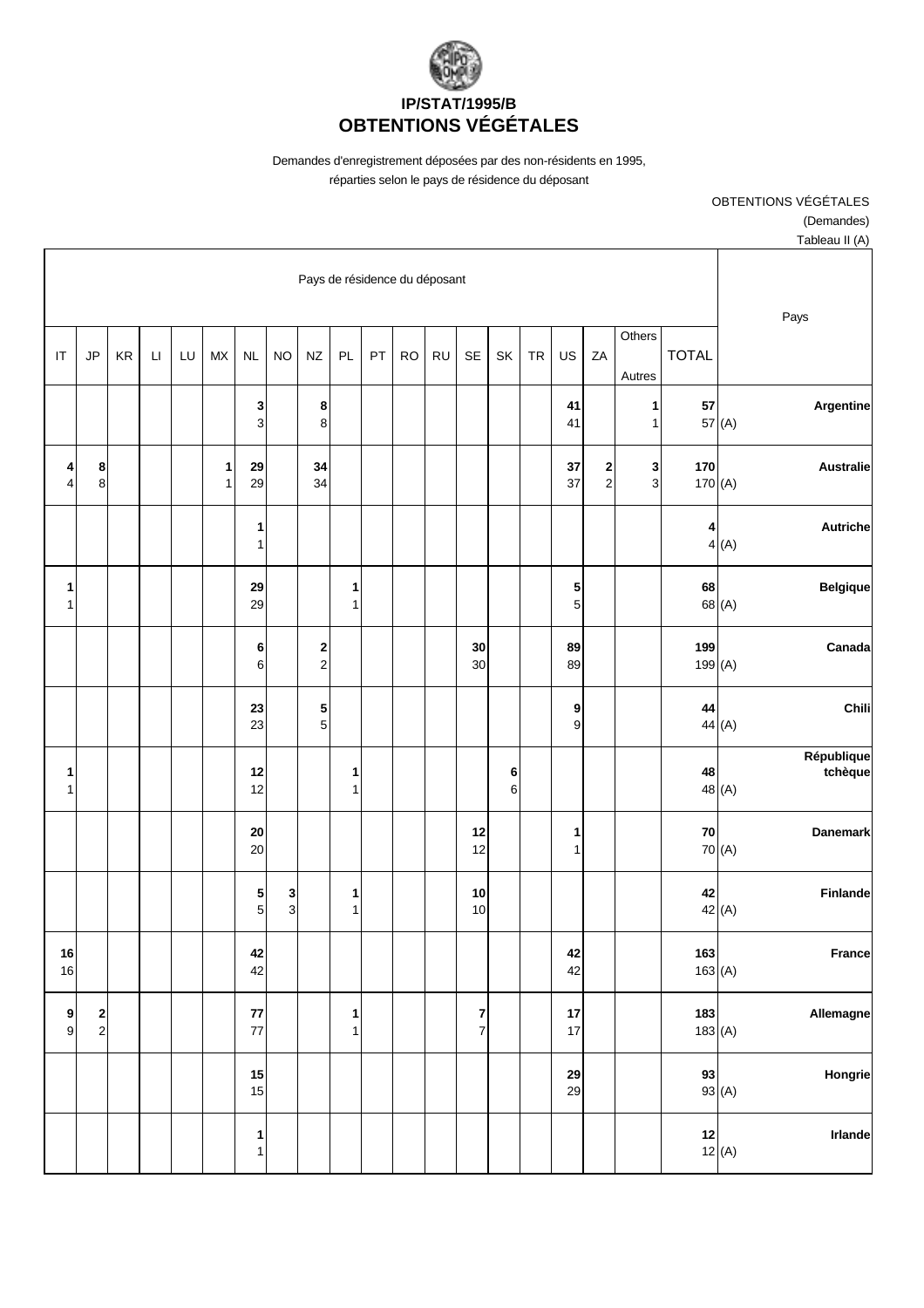

Demandes d'enregistrement déposées par des non-résidents en 1995, réparties selon le pays de résidence du déposant

| rapieau ir $(n)$      |              |               |                   |                                        |          |            |            |                                       |                               |           |    |                             |                               |                                |                     |                   |    |        |    |                                       |                                   |
|-----------------------|--------------|---------------|-------------------|----------------------------------------|----------|------------|------------|---------------------------------------|-------------------------------|-----------|----|-----------------------------|-------------------------------|--------------------------------|---------------------|-------------------|----|--------|----|---------------------------------------|-----------------------------------|
| Pays                  |              |               |                   |                                        |          |            |            |                                       | Pays de résidence du déposant |           |    |                             |                               |                                |                     |                   |    |        |    |                                       |                                   |
|                       |              | <b>TOTAL</b>  | Others<br>Autres  | ZA                                     | US       | ${\sf TR}$ | SK         | SE                                    | <b>RU</b>                     | <b>RO</b> | PT | PL                          | <b>NZ</b>                     | <b>NO</b>                      | <b>NL</b>           | <b>MX</b>         | LU | $\Box$ | KR | JP                                    | $\ensuremath{\mathsf{IT}}\xspace$ |
| Argentine             | 57 (A)       | 57            | 1<br>1            |                                        | 41<br>41 |            |            |                                       |                               |           |    |                             | 8<br>$\bf8$                   |                                | 3<br>$\mathbf{3}$   |                   |    |        |    |                                       |                                   |
| <b>Australie</b>      |              | 170<br>170(A) | 3<br>$\mathbf{3}$ | $\overline{\mathbf{c}}$<br>$\mathbf 2$ | 37<br>37 |            |            |                                       |                               |           |    |                             | 34<br>34                      |                                | 29<br>29            | 1<br>$\mathbf{1}$ |    |        |    | 8<br>8                                | 4<br>4                            |
| <b>Autriche</b>       | 4(A)         | 4             |                   |                                        |          |            |            |                                       |                               |           |    |                             |                               |                                | 1<br>1              |                   |    |        |    |                                       |                                   |
| <b>Belgique</b>       | 68 (A)       | 68            |                   |                                        | 5<br>5   |            |            |                                       |                               |           |    | 1<br>$\mathbf{1}$           |                               |                                | 29<br>29            |                   |    |        |    |                                       | 1<br>$\mathbf{1}$                 |
| Canada                |              | 199<br>199(A) |                   |                                        | 89<br>89 |            |            | 30<br>30                              |                               |           |    |                             | $\mathbf 2$<br>$\overline{a}$ |                                | 6<br>$\,$ 6 $\,$    |                   |    |        |    |                                       |                                   |
| Chili                 | 44 (A)       | 44            |                   |                                        | 9<br>9   |            |            |                                       |                               |           |    |                             | 5<br>$\sqrt{5}$               |                                | 23<br>23            |                   |    |        |    |                                       |                                   |
| République<br>tchèque | 48 (A)       | 48            |                   |                                        |          |            | 6<br>$\,6$ |                                       |                               |           |    | 1<br>1                      |                               |                                | 12<br>12            |                   |    |        |    |                                       | $\mathbf{1}$<br>1                 |
| <b>Danemark</b>       | 70 (A)       | 70            |                   |                                        | 1<br>1   |            |            | 12<br>12                              |                               |           |    |                             |                               |                                | 20<br>20            |                   |    |        |    |                                       |                                   |
| Finlande              | 42 (A)       | 42            |                   |                                        |          |            |            | 10<br>10                              |                               |           |    | 1<br>1                      |                               | 3<br>$\ensuremath{\mathsf{3}}$ | 5<br>5 <sup>1</sup> |                   |    |        |    |                                       |                                   |
| France                | 163(A)       | 163           |                   |                                        | 42<br>42 |            |            |                                       |                               |           |    |                             |                               |                                | 42<br>42            |                   |    |        |    |                                       | $16\,$<br>16                      |
| Allemagne             | 183(A)       | 183           |                   |                                        | 17<br>17 |            |            | $\begin{array}{c} 7 \\ 7 \end{array}$ |                               |           |    | $\mathbf{1}$<br>$\mathbf 1$ |                               |                                | 77<br>77            |                   |    |        |    | $\begin{array}{c} 2 \\ 2 \end{array}$ | 9<br>$\mathsf g$                  |
| Hongrie               | 93 $(A)$     | 93            |                   |                                        | 29<br>29 |            |            |                                       |                               |           |    |                             |                               |                                | 15<br>15            |                   |    |        |    |                                       |                                   |
| Irlande               | 12<br>12 (A) |               |                   |                                        |          |            |            |                                       |                               |           |    |                             |                               |                                | $\mathbf{1}$<br>1   |                   |    |        |    |                                       |                                   |

 (Demandes) Tableau II (A)

OBTENTIONS VÉGÉTALES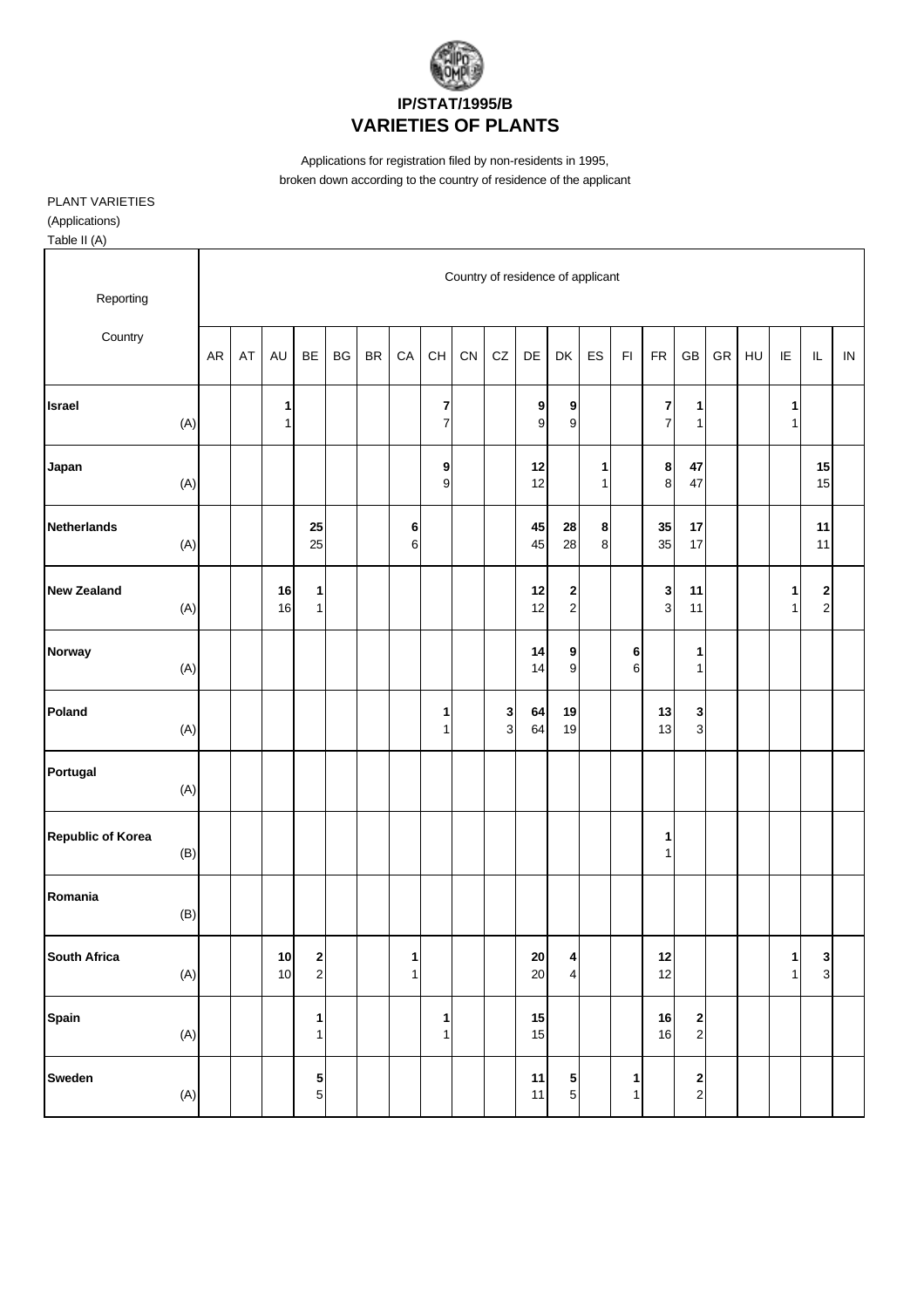

Applications for registration filed by non-residents in 1995, broken down according to the country of residence of the applicant

## PLANT VARIETIES (Applications)

Table II (A)

| Reporting                       |           |    |                   |                             |    |           |               |                                           |    | Country of residence of applicant |                      |                                                               |                   |                   |            |                                         |    |    |                              |                                           |            |
|---------------------------------|-----------|----|-------------------|-----------------------------|----|-----------|---------------|-------------------------------------------|----|-----------------------------------|----------------------|---------------------------------------------------------------|-------------------|-------------------|------------|-----------------------------------------|----|----|------------------------------|-------------------------------------------|------------|
| Country                         | <b>AR</b> | AT | AU                | <b>BE</b>                   | BG | <b>BR</b> | CA            | $\mathsf{CH}% \left( \mathcal{M}\right)$  | CN | CZ                                | DE                   | DK                                                            | ES                | F1                | <b>FR</b>  | GB                                      | GR | HU | IE                           | $\mathsf{IL}$                             | ${\sf IN}$ |
| Israel<br>(A)                   |           |    | 1<br>$\mathbf{1}$ |                             |    |           |               | $\overline{\textbf{7}}$<br>$\overline{7}$ |    |                                   | 9<br>9               | 9<br>$\boldsymbol{9}$                                         |                   |                   | 7<br>7     | 1<br>$\mathbf{1}$                       |    |    | 1<br>1                       |                                           |            |
| Japan<br>(A)                    |           |    |                   |                             |    |           |               | 9<br>9                                    |    |                                   | 12<br>12             |                                                               | 1<br>$\mathbf{1}$ |                   | 8<br>8     | 47<br>47                                |    |    |                              | 15<br>15                                  |            |
| <b>Netherlands</b><br>(A)       |           |    |                   | 25<br>25                    |    |           | 6<br>$6 \mid$ |                                           |    |                                   | 45<br>45             | 28<br>28                                                      | 8<br>8            |                   | 35<br>35   | 17<br>17                                |    |    |                              | 11<br>11                                  |            |
| <b>New Zealand</b><br>(A)       |           |    | 16<br>16          | 1<br>$\mathbf{1}$           |    |           |               |                                           |    |                                   | 12<br>12             | $\begin{array}{c} \n\mathbf{2} \\ \n\mathbf{2} \n\end{array}$ |                   |                   | 3<br>3     | 11<br>11                                |    |    | 1<br>1                       | $\overline{\mathbf{c}}$<br>$\overline{c}$ |            |
| <b>Norway</b><br>(A)            |           |    |                   |                             |    |           |               |                                           |    |                                   | 14<br>14             | 9<br>$\boldsymbol{9}$                                         |                   | 6<br>6            |            | 1<br>1                                  |    |    |                              |                                           |            |
| Poland<br>(A)                   |           |    |                   |                             |    |           |               | 1<br>$\mathbf{1}$                         |    | 3<br>$\mathsf 3$                  | 64<br>64             | 19<br>19                                                      |                   |                   | 13<br>13   | 3<br>$\mathbf{3}$                       |    |    |                              |                                           |            |
| Portugal<br>(A)                 |           |    |                   |                             |    |           |               |                                           |    |                                   |                      |                                                               |                   |                   |            |                                         |    |    |                              |                                           |            |
| <b>Republic of Korea</b><br>(B) |           |    |                   |                             |    |           |               |                                           |    |                                   |                      |                                                               |                   |                   | 1<br>1     |                                         |    |    |                              |                                           |            |
| Romania<br>(B)                  |           |    |                   |                             |    |           |               |                                           |    |                                   |                      |                                                               |                   |                   |            |                                         |    |    |                              |                                           |            |
| <b>South Africa</b><br>(A)      |           |    | 10<br>10          | $\mathbf{2}$<br>$\mathbf 2$ |    |           | 1<br>1        |                                           |    |                                   | ${\bf 20}$<br>$20\,$ | $\vert$<br>$\overline{\mathbf{4}}$                            |                   |                   | $12$<br>12 |                                         |    |    | $\mathbf{1}$<br>$\mathbf{1}$ | $\mathbf{3}$<br>$\overline{3}$            |            |
| Spain<br>(A)                    |           |    |                   | 1<br>$\mathbf{1}$           |    |           |               | 1<br>$\mathbf{1}$                         |    |                                   | 15<br>15             |                                                               |                   |                   | 16<br>16   | $\overline{\mathbf{c}}$<br>$\mathbf{2}$ |    |    |                              |                                           |            |
| Sweden<br>(A)                   |           |    |                   | 5<br>$\mathbf 5$            |    |           |               |                                           |    |                                   | 11<br>11             | $5\overline{)}$<br>$\overline{5}$                             |                   | 1<br>$\mathbf{1}$ |            | $\mathbf{2}$<br>$\overline{c}$          |    |    |                              |                                           |            |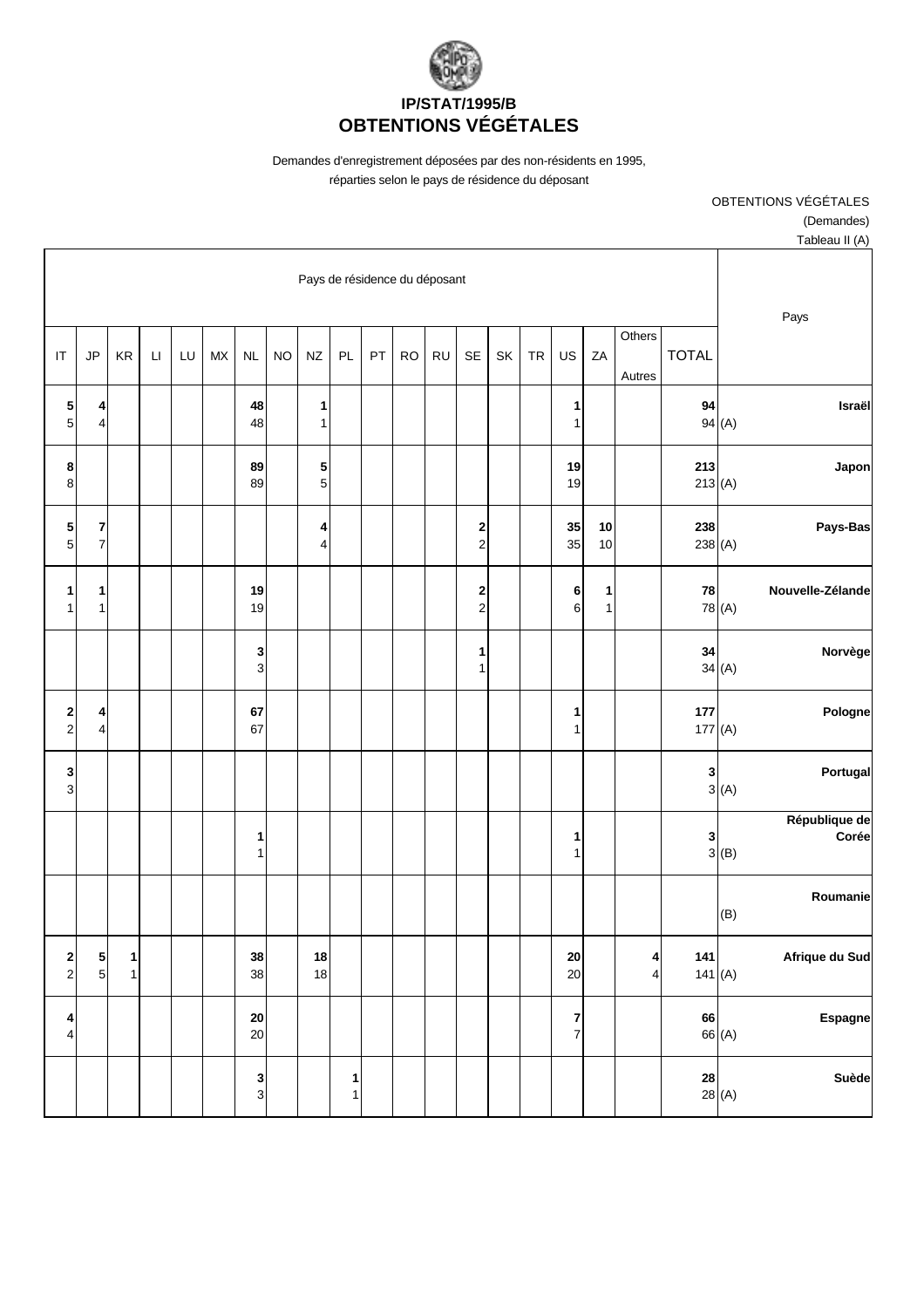

Demandes d'enregistrement déposées par des non-résidents en 1995, réparties selon le pays de résidence du déposant

OBTENTIONS VÉGÉTALES

(Demandes)

| Tableau II (A)                                                       |                                                  |              |                              |                   |                              |           |    |                                        |           |           |    |                   |                               |           |                  |           |    |                        |        |                                    |                                           |
|----------------------------------------------------------------------|--------------------------------------------------|--------------|------------------------------|-------------------|------------------------------|-----------|----|----------------------------------------|-----------|-----------|----|-------------------|-------------------------------|-----------|------------------|-----------|----|------------------------|--------|------------------------------------|-------------------------------------------|
| Pays                                                                 |                                                  |              |                              |                   |                              |           |    |                                        |           |           |    |                   | Pays de résidence du déposant |           |                  |           |    |                        |        |                                    |                                           |
|                                                                      |                                                  | <b>TOTAL</b> | Others<br>Autres             | ZA                | US                           | <b>TR</b> | SK | SE                                     | <b>RU</b> | <b>RO</b> | PT | PL                | $N\!Z$                        | <b>NO</b> | NL               | <b>MX</b> | LU | $\mathsf{L}\mathsf{I}$ | KR     | JP                                 | $\mathsf{I}\mathsf{T}$                    |
| Israël                                                               | 94<br>94(A)                                      |              |                              |                   | 1<br>1                       |           |    |                                        |           |           |    |                   | 1<br>1                        |           | 48<br>48         |           |    |                        |        | 4<br>$\overline{\mathbf{4}}$       | 5<br>$\sqrt{5}$                           |
| Japon                                                                | 213<br>213(A)                                    |              |                              |                   | 19<br>19                     |           |    |                                        |           |           |    |                   | 5<br>$\mathbf 5$              |           | 89<br>89         |           |    |                        |        |                                    | 8<br>8                                    |
| Pays-Bas                                                             | 238<br>238 (A)                                   |              |                              | $10$<br>$10$      | 35<br>35                     |           |    | $\overline{\mathbf{c}}$<br>$\mathbf 2$ |           |           |    |                   | 4<br>$\overline{4}$           |           |                  |           |    |                        |        | $\boldsymbol{7}$<br>$\overline{7}$ | 5<br>$\sqrt{5}$                           |
| Nouvelle-Zélande                                                     | 78<br>78 (A)                                     |              |                              | 1<br>$\mathbf{1}$ | 6<br>$6 \overline{6}$        |           |    | $\boldsymbol{2}$<br>$\mathbf 2$        |           |           |    |                   |                               |           | 19<br>19         |           |    |                        |        | 1<br>$\mathbf{1}$                  | 1<br>$\mathbf{1}$                         |
| Norvège                                                              | 34<br>34(A)                                      |              |                              |                   |                              |           |    | $\mathbf 1$<br>1                       |           |           |    |                   |                               |           | 3<br>3           |           |    |                        |        |                                    |                                           |
| Pologne                                                              | 177<br>177(A)                                    |              |                              |                   | 1<br>1                       |           |    |                                        |           |           |    |                   |                               |           | 67<br>67         |           |    |                        |        | 4<br>$\overline{\mathbf{4}}$       | $\overline{\mathbf{c}}$<br>$\mathbf 2$    |
| Portugal<br>3(A)                                                     | 3                                                |              |                              |                   |                              |           |    |                                        |           |           |    |                   |                               |           |                  |           |    |                        |        |                                    | 3<br>$\mathbf{3}$                         |
| République de<br>Corée<br>$\begin{array}{c c}\n 3 & B\n \end{array}$ |                                                  |              |                              |                   | 1<br>1                       |           |    |                                        |           |           |    |                   |                               |           | 1<br>1           |           |    |                        |        |                                    |                                           |
| Roumanie<br>(B)                                                      |                                                  |              |                              |                   |                              |           |    |                                        |           |           |    |                   |                               |           |                  |           |    |                        |        |                                    |                                           |
| Afrique du Sud                                                       | 141<br>141(A)                                    |              | 4<br>$\overline{\mathbf{4}}$ |                   | 20<br>20                     |           |    |                                        |           |           |    |                   | 18<br>18                      |           | 38<br>38         |           |    |                        | 1<br>1 | $\frac{5}{5}$                      | $\overline{\mathbf{c}}$<br>$\overline{2}$ |
| Espagne                                                              | 66<br>66 (A)                                     |              |                              |                   | 7<br>$\overline{\mathbf{7}}$ |           |    |                                        |           |           |    |                   |                               |           | ${\bf 20}$<br>20 |           |    |                        |        |                                    | 4<br>4                                    |
| Suède                                                                | $\begin{array}{c c} 28 \\ 28 \\ \end{array}$ (A) |              |                              |                   |                              |           |    |                                        |           |           |    | 1<br>$\mathbf{1}$ |                               |           | $\frac{3}{3}$    |           |    |                        |        |                                    |                                           |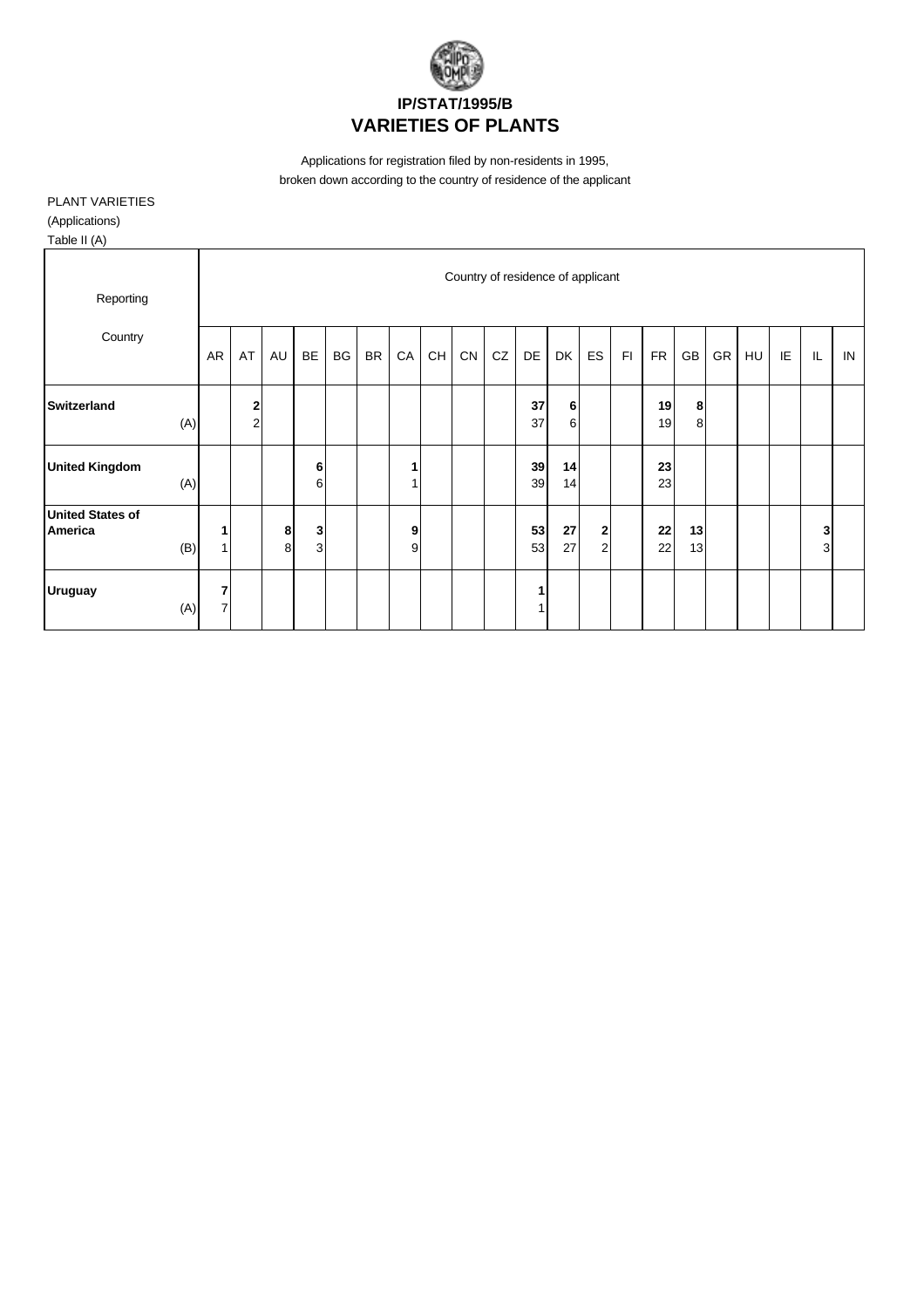

Applications for registration filed by non-residents in 1995, broken down according to the country of residence of the applicant

## PLANT VARIETIES (Applications)

Table II (A)

| $10000$ $11$ $(11)$                |                |                  |    |    |           |           |    |                                          |    |                                   |    |    |                  |    |            |    |    |    |     |    |    |
|------------------------------------|----------------|------------------|----|----|-----------|-----------|----|------------------------------------------|----|-----------------------------------|----|----|------------------|----|------------|----|----|----|-----|----|----|
|                                    |                |                  |    |    |           |           |    |                                          |    | Country of residence of applicant |    |    |                  |    |            |    |    |    |     |    |    |
| Reporting                          |                |                  |    |    |           |           |    |                                          |    |                                   |    |    |                  |    |            |    |    |    |     |    |    |
| Country                            | AR             | AT               | AU | BE | <b>BG</b> |           |    | $\mathsf{CH}% \left( \mathcal{M}\right)$ | CN | CZ                                | DE | DK | <b>ES</b>        | F1 | <b>FR</b>  | GB |    |    | IE. | IL |    |
|                                    |                |                  |    |    |           | <b>BR</b> | CA |                                          |    |                                   |    |    |                  |    |            |    | GR | HU |     |    | IN |
| <b>Switzerland</b>                 |                | $\boldsymbol{2}$ |    |    |           |           |    |                                          |    |                                   | 37 | 6  |                  |    | 19         | 8  |    |    |     |    |    |
| (A)                                |                | $\mathbf 2$      |    |    |           |           |    |                                          |    |                                   | 37 | 6  |                  |    | 19         | 8  |    |    |     |    |    |
| <b>United Kingdom</b>              |                |                  |    | 6  |           |           |    |                                          |    |                                   | 39 | 14 |                  |    | 23         |    |    |    |     |    |    |
| (A)                                |                |                  |    | 6  |           |           |    |                                          |    |                                   | 39 | 14 |                  |    | 23         |    |    |    |     |    |    |
| <b>United States of</b><br>America | 1              |                  | 8  | 3  |           |           | 9  |                                          |    |                                   | 53 | 27 | $\boldsymbol{2}$ |    | ${\bf 22}$ | 13 |    |    |     | 3  |    |
| (B)                                | $\mathbf{1}$   |                  | 8  | 3  |           |           | 9  |                                          |    |                                   | 53 | 27 | $\overline{c}$   |    | 22         | 13 |    |    |     | 3  |    |
| <b>Uruguay</b>                     | 7              |                  |    |    |           |           |    |                                          |    |                                   | 1  |    |                  |    |            |    |    |    |     |    |    |
| (A)                                | $\overline{7}$ |                  |    |    |           |           |    |                                          |    |                                   |    |    |                  |    |            |    |    |    |     |    |    |